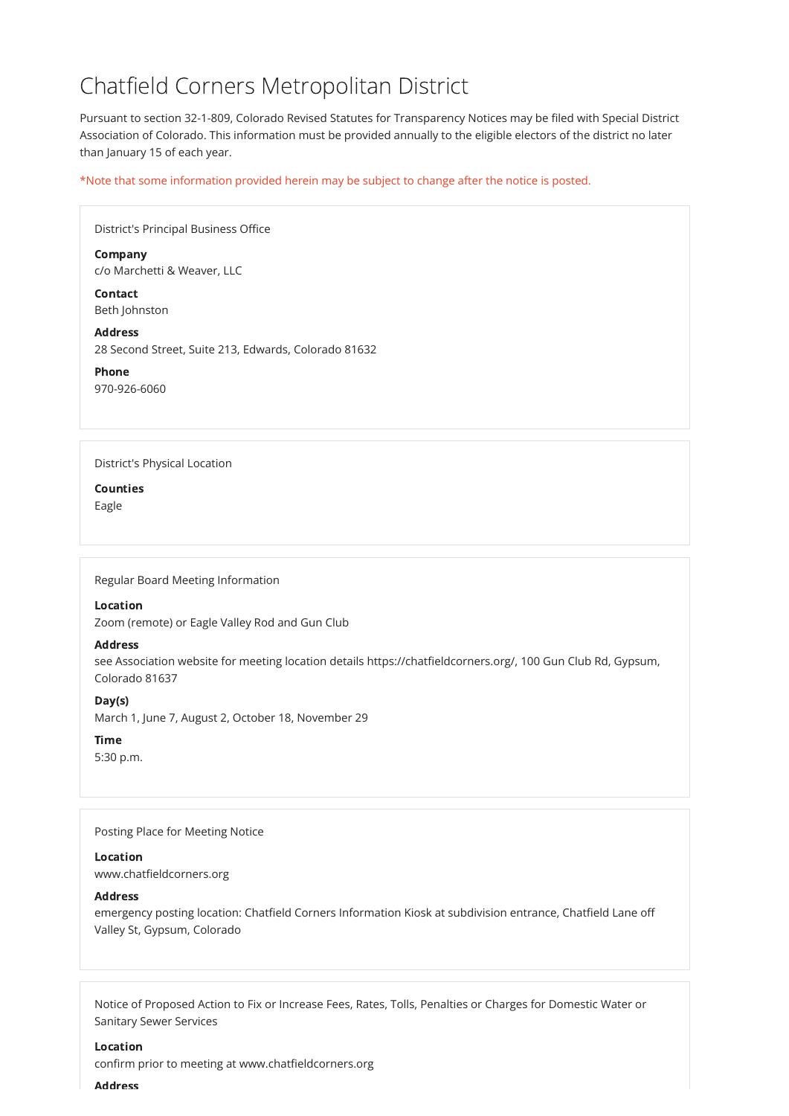# Chatfield Corners Metropolitan District

Pursuant to section 32-1-809, Colorado Revised Statutes for Transparency Notices may be filed with Special District Association of Colorado. This information must be provided annually to the eligible electors of the district no later than January 15 of each year.

\*Note that some information provided herein may be subject to change after the notice is posted.

| District's Principal Business Office                                   |
|------------------------------------------------------------------------|
| <b>Company</b><br>c/o Marchetti & Weaver, LLC                          |
| <b>Contact</b><br>Beth Johnston                                        |
| <b>Address</b><br>28 Second Street, Suite 213, Edwards, Colorado 81632 |
| <b>Phone</b><br>970-926-6060                                           |
|                                                                        |
| <b>District's Physical Location</b>                                    |
| <b>Counties</b><br>Eagle                                               |
|                                                                        |
|                                                                        |
| Regular Board Meeting Information                                      |
| <b>Location</b>                                                        |
| Zoom (remote) or Eagle Valley Rod and Gun Club                         |

# Address

see Association website for meeting location details https://chatfieldcorners.org/, 100 Gun Club Rd, Gypsum, Colorado 81637

# Day(s)

March 1, June 7, August 2, October 18, November 29

# Time

5:30 p.m.

Posting Place for Meeting Notice

#### Location

www.chatfieldcorners.org

### **Address**

emergency posting location: Chatfield Corners Information Kiosk at subdivision entrance, Chatfield Lane off Valley St, Gypsum, Colorado

Notice of Proposed Action to Fix or Increase Fees, Rates, Tolls, Penalties or Charges for Domestic Water or Sanitary Sewer Services

#### Location

confirm prior to meeting at www.chatfieldcorners.org

#### Address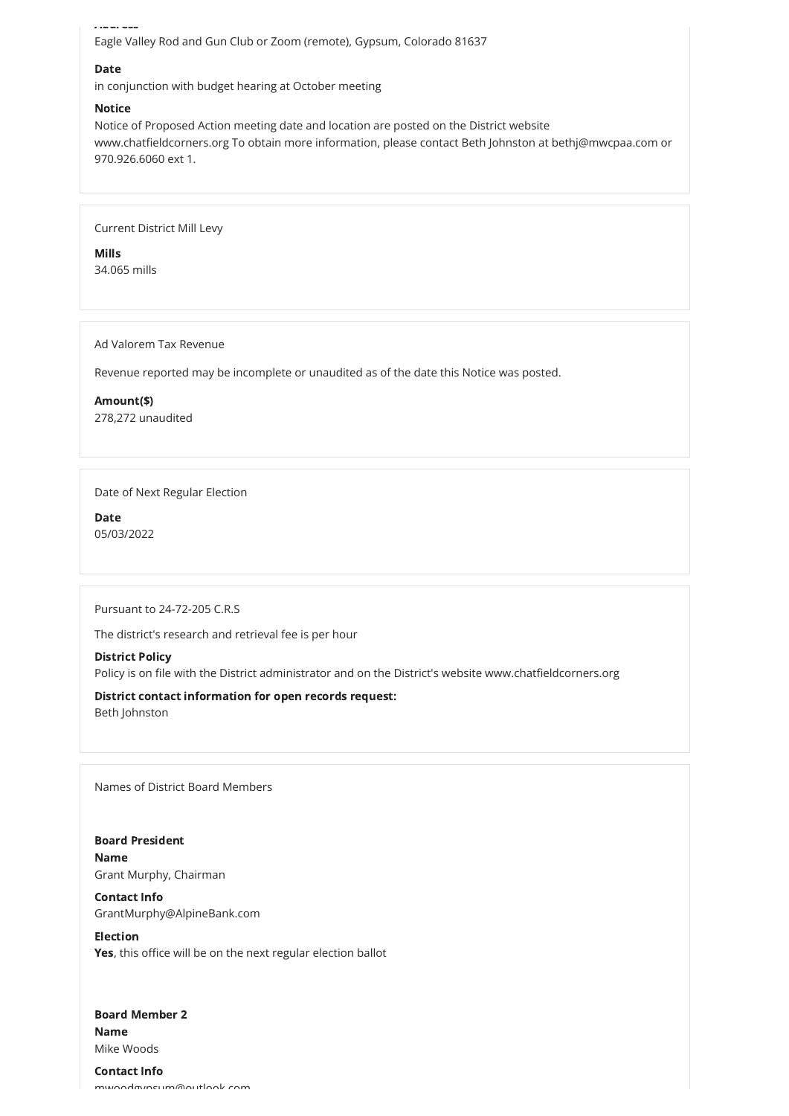Address Eagle Valley Rod and Gun Club or Zoom (remote), Gypsum, Colorado 81637

# Date

in conjunction with budget hearing at October meeting

# **Notice**

Notice of Proposed Action meeting date and location are posted on the District website www.chatfieldcorners.org To obtain more information, please contact Beth Johnston at bethj@mwcpaa.com or 970.926.6060 ext 1.

Current District Mill Levy

Mills 34.065 mills

Ad Valorem Tax Revenue

Revenue reported may be incomplete or unaudited as of the date this Notice was posted.

Amount(\$) 278,272 unaudited

Date of Next Regular Election

Date 05/03/2022

Pursuant to 24-72-205 C.R.S

The district's research and retrieval fee is per hour

# District Policy

Policy is on file with the District administrator and on the District's website www.chatfieldcorners.org

District contact information for open records request:

Beth Johnston

Names of District Board Members

Board President

#### Board Member 2

#### Name

Grant Murphy, Chairman

# Contact Info

GrantMurphy@AlpineBank.com

#### Election

Yes, this office will be on the next regular election ballot

Name

Mike Woods

#### Contact Info

mwoodgypsum@outlook com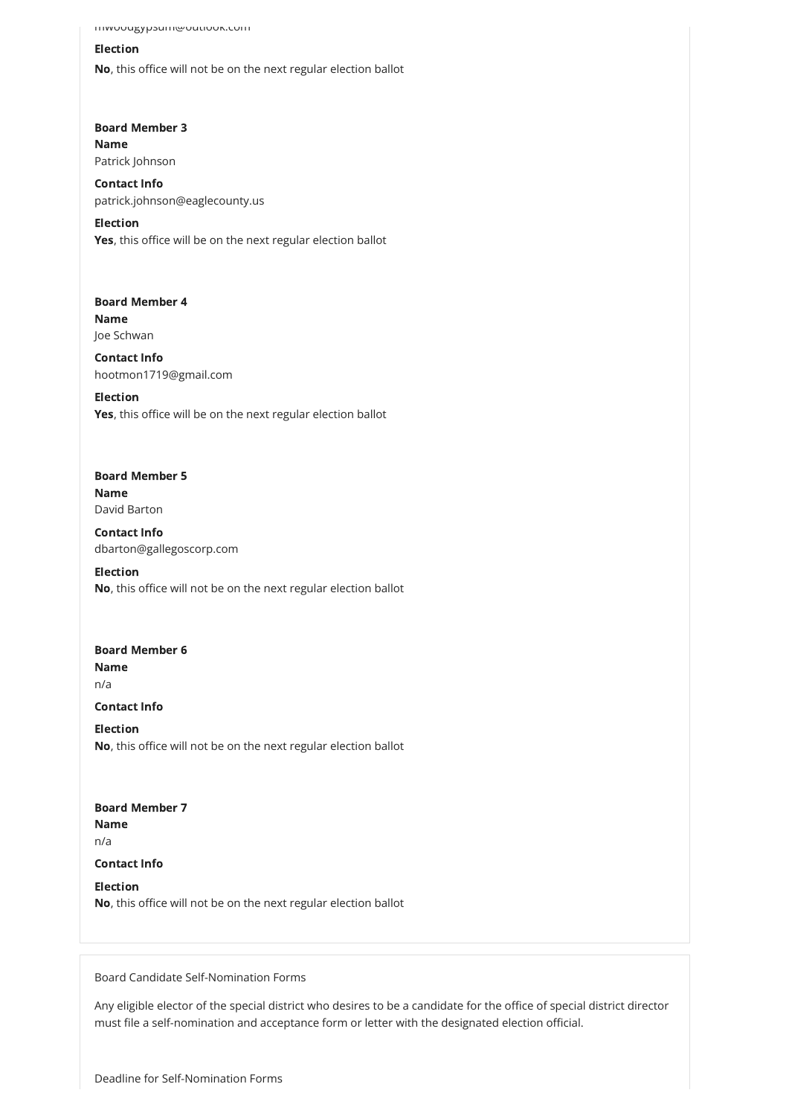Board Member 3

mwoodgypsum@outlook.com

## Election

Election Yes, this office will be on the next regular election ballot

No, this office will not be on the next regular election ballot

Board Member 4 Name Joe Schwan

Election Yes, this office will be on the next regular election ballot

Name Patrick Johnson

Contact Info patrick.johnson@eaglecounty.us

# Board Member 5 Name David Barton

Board Member 6 Name n/a Contact Info

Contact Info hootmon1719@gmail.com

Board Member 7 Name

Contact Info dbarton@gallegoscorp.com

Election No, this office will not be on the next regular election ballot

Election No, this office will not be on the next regular election ballot

n/a

#### Contact Info

#### Election

No, this office will not be on the next regular election ballot

Board Candidate Self-Nomination Forms

Any eligible elector of the special district who desires to be a candidate for the office of special district director must file a self-nomination and acceptance form or letter with the designated election official.

Deadline for Self-Nomination Forms